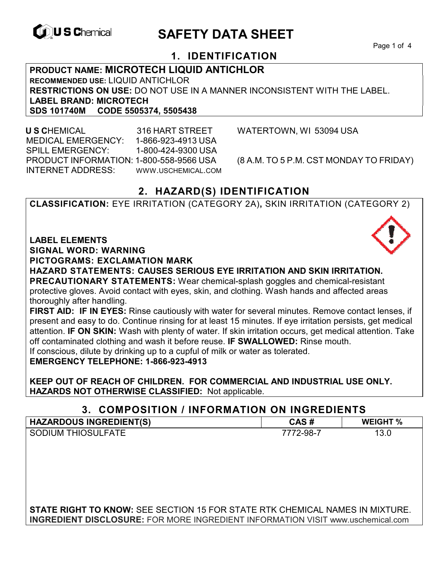

# **CONSCHIEF CONTROLS ARE SAFETY DATA SHEET**

Page 1 of 4

## **1. IDENTIFICATION**

**PRODUCT NAME: MICROTECH LIQUID ANTICHLOR RECOMMENDED USE:** LIQUID ANTICHLOR **RESTRICTIONS ON USE:** DO NOT USE IN A MANNER INCONSISTENT WITH THE LABEL. **LABEL BRAND: MICROTECH SDS 101740M CODE 5505374, 5505438** 

 **U S C**HEMICAL 316 HART STREET WATERTOWN, WI 53094 USA MEDICAL EMERGENCY: 1-866-923-4913 USA SPILL EMERGENCY: 1-800-424-9300 USA PRODUCT INFORMATION: 1-800-558-9566 USA (8 A.M. TO 5 P.M. CST MONDAY TO FRIDAY) INTERNET ADDRESS: WWW.USCHEMICAL.COM

## **2. HAZARD(S) IDENTIFICATION**

**CLASSIFICATION:** EYE IRRITATION (CATEGORY 2A)**,** SKIN IRRITATION (CATEGORY 2)

**LABEL ELEMENTS** 

**SIGNAL WORD: WARNING**

**PICTOGRAMS: EXCLAMATION MARK**

**HAZARD STATEMENTS: CAUSES SERIOUS EYE IRRITATION AND SKIN IRRITATION. PRECAUTIONARY STATEMENTS:** Wear chemical-splash goggles and chemical-resistant protective gloves. Avoid contact with eyes, skin, and clothing. Wash hands and affected areas thoroughly after handling.

**FIRST AID: IF IN EYES:** Rinse cautiously with water for several minutes. Remove contact lenses, if present and easy to do. Continue rinsing for at least 15 minutes. If eye irritation persists, get medical attention. **IF ON SKIN:** Wash with plenty of water. If skin irritation occurs, get medical attention. Take off contaminated clothing and wash it before reuse. **IF SWALLOWED:** Rinse mouth. If conscious, dilute by drinking up to a cupful of milk or water as tolerated. **EMERGENCY TELEPHONE: 1-866-923-4913** 

**KEEP OUT OF REACH OF CHILDREN. FOR COMMERCIAL AND INDUSTRIAL USE ONLY. HAZARDS NOT OTHERWISE CLASSIFIED:** Not applicable.

## **3. COMPOSITION / INFORMATION ON INGREDIENTS**

| <b>HAZARDOUS INGREDIENT(S)</b>                                                      | CAS#      | <b>WEIGHT %</b> |
|-------------------------------------------------------------------------------------|-----------|-----------------|
| <b>SODIUM THIOSULFATE</b>                                                           | 7772-98-7 | 13.0            |
|                                                                                     |           |                 |
|                                                                                     |           |                 |
|                                                                                     |           |                 |
|                                                                                     |           |                 |
|                                                                                     |           |                 |
|                                                                                     |           |                 |
| <b>STATE RIGHT TO KNOW: SEE SECTION 15 FOR STATE RTK CHEMICAL NAMES IN MIXTURE.</b> |           |                 |

**INGREDIENT DISCLOSURE:** FOR MORE INGREDIENT INFORMATION VISIT www.uschemical.com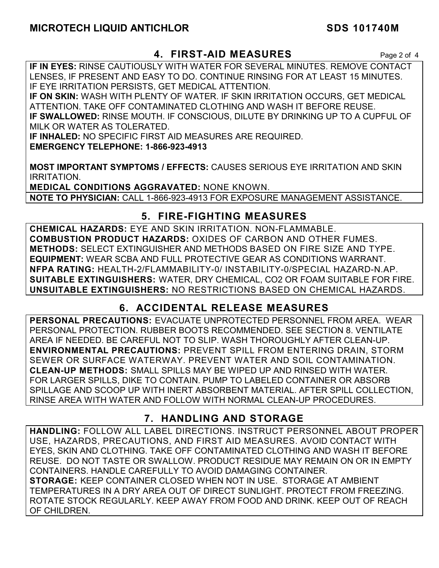## **MICROTECH LIQUID ANTICHLOR SDS 101740M**

## **4. FIRST-AID MEASURES** Page 2 of 4

**IF IN EYES:** RINSE CAUTIOUSLY WITH WATER FOR SEVERAL MINUTES. REMOVE CONTACT LENSES, IF PRESENT AND EASY TO DO. CONTINUE RINSING FOR AT LEAST 15 MINUTES. IF EYE IRRITATION PERSISTS, GET MEDICAL ATTENTION.

**IF ON SKIN:** WASH WITH PLENTY OF WATER. IF SKIN IRRITATION OCCURS, GET MEDICAL ATTENTION. TAKE OFF CONTAMINATED CLOTHING AND WASH IT BEFORE REUSE. **IF SWALLOWED:** RINSE MOUTH. IF CONSCIOUS, DILUTE BY DRINKING UP TO A CUPFUL OF MILK OR WATER AS TOLERATED.

**IF INHALED:** NO SPECIFIC FIRST AID MEASURES ARE REQUIRED. **EMERGENCY TELEPHONE: 1-866-923-4913** 

**MOST IMPORTANT SYMPTOMS / EFFECTS:** CAUSES SERIOUS EYE IRRITATION AND SKIN IRRITATION.

**MEDICAL CONDITIONS AGGRAVATED:** NONE KNOWN. **NOTE TO PHYSICIAN:** CALL 1-866-923-4913 FOR EXPOSURE MANAGEMENT ASSISTANCE.

## **5. FIRE-FIGHTING MEASURES**

**CHEMICAL HAZARDS:** EYE AND SKIN IRRITATION. NON-FLAMMABLE. **COMBUSTION PRODUCT HAZARDS:** OXIDES OF CARBON AND OTHER FUMES. **METHODS:** SELECT EXTINGUISHER AND METHODS BASED ON FIRE SIZE AND TYPE. **EQUIPMENT:** WEAR SCBA AND FULL PROTECTIVE GEAR AS CONDITIONS WARRANT. **NFPA RATING:** HEALTH-2/FLAMMABILITY-0/ INSTABILITY-0/SPECIAL HAZARD-N.AP. **SUITABLE EXTINGUISHERS:** WATER, DRY CHEMICAL, CO2 OR FOAM SUITABLE FOR FIRE. **UNSUITABLE EXTINGUISHERS:** NO RESTRICTIONS BASED ON CHEMICAL HAZARDS.

## **6. ACCIDENTAL RELEASE MEASURES**

**PERSONAL PRECAUTIONS:** EVACUATE UNPROTECTED PERSONNEL FROM AREA. WEAR PERSONAL PROTECTION. RUBBER BOOTS RECOMMENDED. SEE SECTION 8. VENTILATE AREA IF NEEDED. BE CAREFUL NOT TO SLIP. WASH THOROUGHLY AFTER CLEAN-UP. **ENVIRONMENTAL PRECAUTIONS:** PREVENT SPILL FROM ENTERING DRAIN, STORM SEWER OR SURFACE WATERWAY. PREVENT WATER AND SOIL CONTAMINATION. **CLEAN-UP METHODS:** SMALL SPILLS MAY BE WIPED UP AND RINSED WITH WATER. FOR LARGER SPILLS, DIKE TO CONTAIN. PUMP TO LABELED CONTAINER OR ABSORB SPILLAGE AND SCOOP UP WITH INERT ABSORBENT MATERIAL. AFTER SPILL COLLECTION, RINSE AREA WITH WATER AND FOLLOW WITH NORMAL CLEAN-UP PROCEDURES.

## **7. HANDLING AND STORAGE**

**HANDLING:** FOLLOW ALL LABEL DIRECTIONS. INSTRUCT PERSONNEL ABOUT PROPER USE, HAZARDS, PRECAUTIONS, AND FIRST AID MEASURES. AVOID CONTACT WITH EYES, SKIN AND CLOTHING. TAKE OFF CONTAMINATED CLOTHING AND WASH IT BEFORE REUSE. DO NOT TASTE OR SWALLOW. PRODUCT RESIDUE MAY REMAIN ON OR IN EMPTY CONTAINERS. HANDLE CAREFULLY TO AVOID DAMAGING CONTAINER. **STORAGE:** KEEP CONTAINER CLOSED WHEN NOT IN USE. STORAGE AT AMBIENT TEMPERATURES IN A DRY AREA OUT OF DIRECT SUNLIGHT. PROTECT FROM FREEZING. ROTATE STOCK REGULARLY. KEEP AWAY FROM FOOD AND DRINK. KEEP OUT OF REACH OF CHILDREN.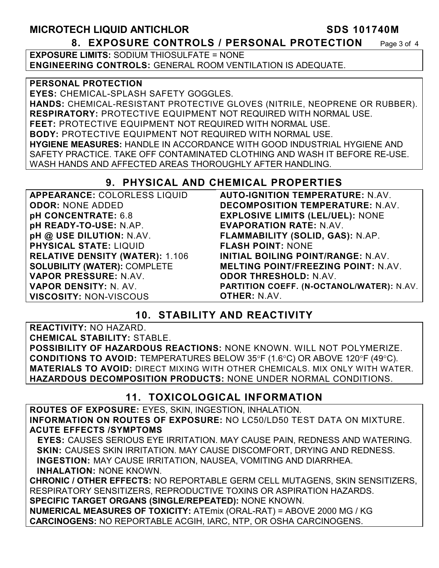## **MICROTECH LIQUID ANTICHLOR SDS 101740M 8. EXPOSURE CONTROLS / PERSONAL PROTECTION** Page 3 of 4

**EXPOSURE LIMITS: SODIUM THIOSULFATE = NONE ENGINEERING CONTROLS:** GENERAL ROOM VENTILATION IS ADEQUATE.

### **PERSONAL PROTECTION**

**EYES:** CHEMICAL-SPLASH SAFETY GOGGLES. **HANDS:** CHEMICAL-RESISTANT PROTECTIVE GLOVES (NITRILE, NEOPRENE OR RUBBER). **RESPIRATORY:** PROTECTIVE EQUIPMENT NOT REQUIRED WITH NORMAL USE. **FEET:** PROTECTIVE EQUIPMENT NOT REQUIRED WITH NORMAL USE. **BODY:** PROTECTIVE EQUIPMENT NOT REQUIRED WITH NORMAL USE. **HYGIENE MEASURES:** HANDLE IN ACCORDANCE WITH GOOD INDUSTRIAL HYGIENE AND SAFETY PRACTICE. TAKE OFF CONTAMINATED CLOTHING AND WASH IT BEFORE RE-USE. WASH HANDS AND AFFECTED AREAS THOROUGHLY AFTER HANDLING.

## **9. PHYSICAL AND CHEMICAL PROPERTIES**

| APPEARANCE: COLORLESS LIQUID           | <b>AUTO-IGNITION TEMPERATURE: N.AV.</b>    |
|----------------------------------------|--------------------------------------------|
| <b>ODOR: NONE ADDED</b>                | <b>DECOMPOSITION TEMPERATURE: N.AV.</b>    |
| pH CONCENTRATE: 6.8                    | <b>EXPLOSIVE LIMITS (LEL/UEL): NONE</b>    |
| pH READY-TO-USE: N.AP.                 | <b>EVAPORATION RATE: N.AV.</b>             |
| pH @ USE DILUTION: N.AV.               | FLAMMABILITY (SOLID, GAS): N.AP.           |
| <b>PHYSICAL STATE: LIQUID</b>          | <b>FLASH POINT: NONE</b>                   |
| <b>RELATIVE DENSITY (WATER): 1.106</b> | INITIAL BOILING POINT/RANGE: N.AV.         |
| <b>SOLUBILITY (WATER): COMPLETE</b>    | <b>MELTING POINT/FREEZING POINT: N.AV.</b> |
| VAPOR PRESSURE: N.AV.                  | <b>ODOR THRESHOLD: N.AV.</b>               |
| <b>VAPOR DENSITY: N. AV.</b>           | PARTITION COEFF. (N-OCTANOL/WATER): N.AV.  |
| <b>VISCOSITY: NON-VISCOUS</b>          | <b>OTHER: N.AV.</b>                        |

## **10. STABILITY AND REACTIVITY**

**REACTIVITY:** NO HAZARD. **CHEMICAL STABILITY:** STABLE. **POSSIBILITY OF HAZARDOUS REACTIONS:** NONE KNOWN. WILL NOT POLYMERIZE. **CONDITIONS TO AVOID:** TEMPERATURES BELOW 35°F (1.6°C) OR ABOVE 120°F (49°C). **MATERIALS TO AVOID:** DIRECT MIXING WITH OTHER CHEMICALS. MIX ONLY WITH WATER. **HAZARDOUS DECOMPOSITION PRODUCTS:** NONE UNDER NORMAL CONDITIONS.

## **11. TOXICOLOGICAL INFORMATION**

**ROUTES OF EXPOSURE:** EYES, SKIN, INGESTION, INHALATION. **INFORMATION ON ROUTES OF EXPOSURE:** NO LC50/LD50 TEST DATA ON MIXTURE. **ACUTE EFFECTS /SYMPTOMS** 

 **EYES:** CAUSES SERIOUS EYE IRRITATION. MAY CAUSE PAIN, REDNESS AND WATERING. **SKIN:** CAUSES SKIN IRRITATION. MAY CAUSE DISCOMFORT, DRYING AND REDNESS. **INGESTION:** MAY CAUSE IRRITATION, NAUSEA, VOMITING AND DIARRHEA. **INHALATION:** NONE KNOWN.

**CHRONIC / OTHER EFFECTS:** NO REPORTABLE GERM CELL MUTAGENS, SKIN SENSITIZERS, RESPIRATORY SENSITIZERS, REPRODUCTIVE TOXINS OR ASPIRATION HAZARDS. **SPECIFIC TARGET ORGANS (SINGLE/REPEATED):** NONE KNOWN.

**NUMERICAL MEASURES OF TOXICITY:** ATEmix (ORAL-RAT) = ABOVE 2000 MG / KG **CARCINOGENS:** NO REPORTABLE ACGIH, IARC, NTP, OR OSHA CARCINOGENS.